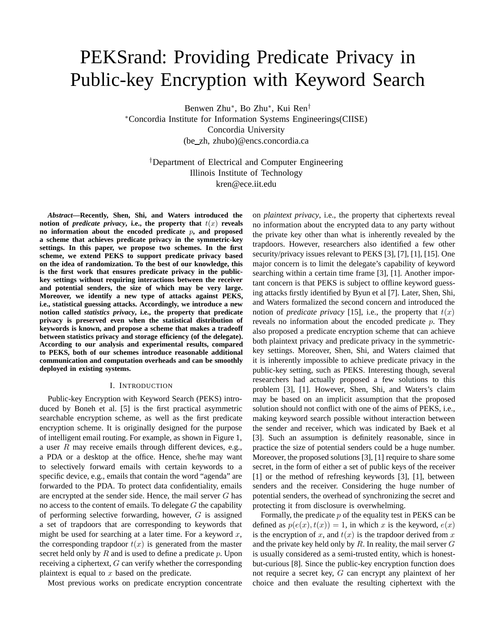# PEKSrand: Providing Predicate Privacy in Public-key Encryption with Keyword Search

Benwen Zhu∗, Bo Zhu∗, Kui Ren†

∗Concordia Institute for Information Systems Engineerings(CIISE) Concordia University (be zh, zhubo)@encs.concordia.ca

†Department of Electrical and Computer Engineering Illinois Institute of Technology kren@ece.iit.edu

*Abstract***—Recently, Shen, Shi, and Waters introduced the notion of** *predicate privacy***, i.e., the property that**  $t(x)$  **reveals no information about the encoded predicate** *p***, and proposed a scheme that achieves predicate privacy in the symmetric-key settings. In this paper, we propose two schemes. In the first scheme, we extend PEKS to support predicate privacy based on the idea of randomization. To the best of our knowledge, this is the first work that ensures predicate privacy in the publickey settings without requiring interactions between the receiver and potential senders, the size of which may be very large. Moreover, we identify a new type of attacks against PEKS, i.e., statistical guessing attacks. Accordingly, we introduce a new notion called** *statistics privacy***, i.e., the property that predicate privacy is preserved even when the statistical distribution of keywords is known, and propose a scheme that makes a tradeoff between statistics privacy and storage efficiency (of the delegate). According to our analysis and experimental results, compared to PEKS, both of our schemes introduce reasonable additional communication and computation overheads and can be smoothly deployed in existing systems.**

### I. INTRODUCTION

Public-key Encryption with Keyword Search (PEKS) introduced by Boneh et al. [5] is the first practical asymmetric searchable encryption scheme, as well as the first predicate encryption scheme. It is originally designed for the purpose of intelligent email routing. For example, as shown in Figure 1, a user  $R$  may receive emails through different devices, e.g., a PDA or a desktop at the office. Hence, she/he may want to selectively forward emails with certain keywords to a specific device, e.g., emails that contain the word "agenda" are forwarded to the PDA. To protect data confidentiality, emails are encrypted at the sender side. Hence, the mail server  $G$  has no access to the content of emails. To delegate  $G$  the capability of performing selective forwarding, however, G is assigned a set of trapdoors that are corresponding to keywords that might be used for searching at a later time. For a keyword  $x$ , the corresponding trapdoor  $t(x)$  is generated from the master secret held only by  $R$  and is used to define a predicate  $p$ . Upon receiving a ciphertext, G can verify whether the corresponding plaintext is equal to  $x$  based on the predicate.

Most previous works on predicate encryption concentrate

on *plaintext privacy*, i.e., the property that ciphertexts reveal no information about the encrypted data to any party without the private key other than what is inherently revealed by the trapdoors. However, researchers also identified a few other security/privacy issues relevant to PEKS [3], [7], [1], [15]. One major concern is to limit the delegate's capability of keyword searching within a certain time frame [3], [1]. Another important concern is that PEKS is subject to offline keyword guessing attacks firstly identified by Byun et al [7]. Later, Shen, Shi, and Waters formalized the second concern and introduced the notion of *predicate privacy* [15], i.e., the property that  $t(x)$ reveals no information about the encoded predicate p. They also proposed a predicate encryption scheme that can achieve both plaintext privacy and predicate privacy in the symmetrickey settings. Moreover, Shen, Shi, and Waters claimed that it is inherently impossible to achieve predicate privacy in the public-key setting, such as PEKS. Interesting though, several researchers had actually proposed a few solutions to this problem [3], [1]. However, Shen, Shi, and Waters's claim may be based on an implicit assumption that the proposed solution should not conflict with one of the aims of PEKS, i.e., making keyword search possible without interaction between the sender and receiver, which was indicated by Baek et al [3]. Such an assumption is definitely reasonable, since in practice the size of potential senders could be a huge number. Moreover, the proposed solutions [3], [1] require to share some secret, in the form of either a set of public keys of the receiver [1] or the method of refreshing keywords [3], [1], between senders and the receiver. Considering the huge number of potential senders, the overhead of synchronizing the secret and protecting it from disclosure is overwhelming.

Formally, the predicate  $p$  of the equality test in PEKS can be defined as  $p(e(x), t(x)) = 1$ , in which x is the keyword,  $e(x)$ is the encryption of x, and  $t(x)$  is the trapdoor derived from x and the private key held only by R. In reality, the mail server  $G$ is usually considered as a semi-trusted entity, which is honestbut-curious [8]. Since the public-key encryption function does not require a secret key, G can encrypt any plaintext of her choice and then evaluate the resulting ciphertext with the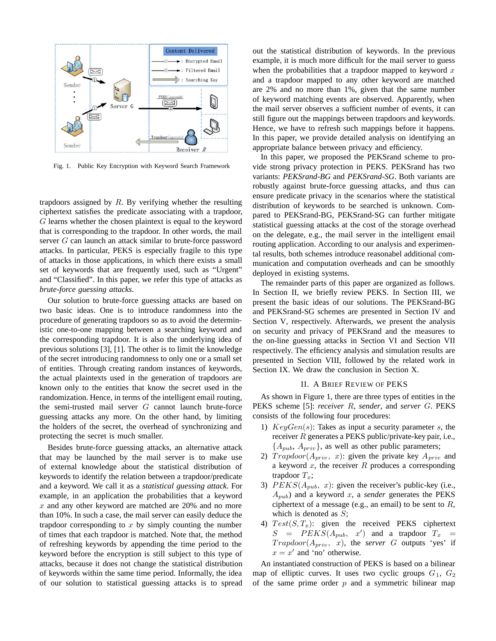

Fig. 1. Public Key Encryption with Keyword Search Framework

trapdoors assigned by  $R$ . By verifying whether the resulting ciphertext satisfies the predicate associating with a trapdoor, G learns whether the chosen plaintext is equal to the keyword that is corresponding to the trapdoor. In other words, the mail server G can launch an attack similar to brute-force password attacks. In particular, PEKS is especially fragile to this type of attacks in those applications, in which there exists a small set of keywords that are frequently used, such as "Urgent" and "Classified". In this paper, we refer this type of attacks as *brute-force guessing attacks*.

Our solution to brute-force guessing attacks are based on two basic ideas. One is to introduce randomness into the procedure of generating trapdoors so as to avoid the deterministic one-to-one mapping between a searching keyword and the corresponding trapdoor. It is also the underlying idea of previous solutions [3], [1]. The other is to limit the knowledge of the secret introducing randomness to only one or a small set of entities. Through creating random instances of keywords, the actual plaintexts used in the generation of trapdoors are known only to the entities that know the secret used in the randomization. Hence, in terms of the intelligent email routing, the semi-trusted mail server G cannot launch brute-force guessing attacks any more. On the other hand, by limiting the holders of the secret, the overhead of synchronizing and protecting the secret is much smaller.

Besides brute-force guessing attacks, an alternative attack that may be launched by the mail server is to make use of external knowledge about the statistical distribution of keywords to identify the relation between a trapdoor/predicate and a keyword. We call it as a *statistical guessing attack*. For example, in an application the probabilities that a keyword  $x$  and any other keyword are matched are 20% and no more than 10%. In such a case, the mail server can easily deduce the trapdoor corresponding to  $x$  by simply counting the number of times that each trapdoor is matched. Note that, the method of refreshing keywords by appending the time period to the keyword before the encryption is still subject to this type of attacks, because it does not change the statistical distribution of keywords within the same time period. Informally, the idea of our solution to statistical guessing attacks is to spread

out the statistical distribution of keywords. In the previous example, it is much more difficult for the mail server to guess when the probabilities that a trapdoor mapped to keyword  $x$ and a trapdoor mapped to any other keyword are matched are 2% and no more than 1%, given that the same number of keyword matching events are observed. Apparently, when the mail server observes a sufficient number of events, it can still figure out the mappings between trapdoors and keywords. Hence, we have to refresh such mappings before it happens. In this paper, we provide detailed analysis on identifying an appropriate balance between privacy and efficiency.

In this paper, we proposed the PEKSrand scheme to provide strong privacy protection in PEKS. PEKSrand has two variants: *PEKSrand-BG* and *PEKSrand-SG*. Both variants are robustly against brute-force guessing attacks, and thus can ensure predicate privacy in the scenarios where the statistical distribution of keywords to be searched is unknown. Compared to PEKSrand-BG, PEKSrand-SG can further mitigate statistical guessing attacks at the cost of the storage overhead on the delegate, e.g., the mail server in the intelligent email routing application. According to our analysis and experimental results, both schemes introduce reasonabel additional communication and computation overheads and can be smoothly deployed in existing systems.

The remainder parts of this paper are organized as follows. In Section II, we briefly review PEKS. In Section III, we present the basic ideas of our solutions. The PEKSrand-BG and PEKSrand-SG schemes are presented in Section IV and Section V, respectively. Afterwards, we present the analysis on security and privacy of PEKSrand and the measures to the on-line guessing attacks in Section VI and Section VII respectively. The efficiency analysis and simulation results are presented in Section VIII, followed by the related work in Section IX. We draw the conclusion in Section X.

#### II. A BRIEF REVIEW OF PEKS

As shown in Figure 1, there are three types of entities in the PEKS scheme [5]: *receiver* R, *sender*, and *server* G. PEKS consists of the following four procedures:

- 1)  $KeyGen(s)$ : Takes as input a security parameter s, the receiver R generates a PEKS public/private-key pair, i.e.,  ${A<sub>pub</sub>, A<sub>priv</sub>}$ , as well as other public parameters;
- 2)  $Trapdoor(A_{priv}, x)$ : given the private key  $A_{priv}$  and a keyword  $x$ , the receiver  $R$  produces a corresponding trapdoor  $T_x$ ;
- 3)  $PEKS(A_{pub}, x)$ : given the receiver's public-key (i.e.,  $A_{pub}$ ) and a keyword x, a *sender* generates the PEKS ciphertext of a message (e.g., an email) to be sent to  $R$ , which is denoted as  $S$ ;
- 4)  $Test(S, T_x)$ : given the received PEKS ciphertext  $S = P E K S (A_{pub}, x')$  and a trapdoor  $T_x =$ <br>Trandoor  $(A \cdot x)$  the server G outputs 'yes' if  $Trapdoor(A_{priv}, x)$ , the *server* G outputs 'yes' if  $x = x'$  and 'no' otherwise.

An instantiated construction of PEKS is based on a bilinear map of elliptic curves. It uses two cyclic groups  $G_1$ ,  $G_2$ of the same prime order  $p$  and a symmetric bilinear map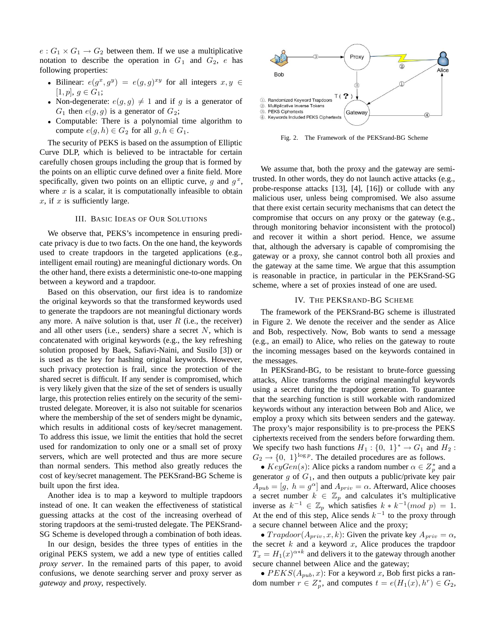$e: G_1 \times G_1 \rightarrow G_2$  between them. If we use a multiplicative notation to describe the operation in  $G_1$  and  $G_2$ , e has following properties:

- Bilinear:  $e(g^x, g^y) = e(g, g)^{xy}$  for all integers  $x, y \in$  $[1, p], g \in G_1;$
- Non-degenerate:  $e(g, g) \neq 1$  and if g is a generator of  $G_1$  then  $e(g, g)$  is a generator of  $G_2$ ;
- Computable: There is a polynomial time algorithm to compute  $e(g, h) \in G_2$  for all  $g, h \in G_1$ .

The security of PEKS is based on the assumption of Elliptic Curve DLP, which is believed to be intractable for certain carefully chosen groups including the group that is formed by the points on an elliptic curve defined over a finite field. More specifically, given two points on an elliptic curve, q and  $q^x$ , where  $x$  is a scalar, it is computationally infeasible to obtain  $x$ , if  $x$  is sufficiently large.

### III. BASIC IDEAS OF OUR SOLUTIONS

We observe that, PEKS's incompetence in ensuring predicate privacy is due to two facts. On the one hand, the keywords used to create trapdoors in the targeted applications (e.g., intelligent email routing) are meaningful dictionary words. On the other hand, there exists a deterministic one-to-one mapping between a keyword and a trapdoor.

Based on this observation, our first idea is to randomize the original keywords so that the transformed keywords used to generate the trapdoors are not meaningful dictionary words any more. A naïve solution is that, user  $R$  (i.e., the receiver) and all other users (i.e., senders) share a secret  $N$ , which is concatenated with original keywords (e.g., the key refreshing solution proposed by Baek, Safiavi-Naini, and Susilo [3]) or is used as the key for hashing original keywords. However, such privacy protection is frail, since the protection of the shared secret is difficult. If any sender is compromised, which is very likely given that the size of the set of senders is usually large, this protection relies entirely on the security of the semitrusted delegate. Moreover, it is also not suitable for scenarios where the membership of the set of senders might be dynamic, which results in additional costs of key/secret management. To address this issue, we limit the entities that hold the secret used for randomization to only one or a small set of proxy servers, which are well protected and thus are more secure than normal senders. This method also greatly reduces the cost of key/secret management. The PEKSrand-BG Scheme is built upon the first idea.

Another idea is to map a keyword to multiple trapdoors instead of one. It can weaken the effectiveness of statistical guessing attacks at the cost of the increasing overhead of storing trapdoors at the semi-trusted delegate. The PEKSrand-SG Scheme is developed through a combination of both ideas.

In our design, besides the three types of entities in the original PEKS system, we add a new type of entities called *proxy server*. In the remained parts of this paper, to avoid confusions, we denote searching server and proxy server as *gateway* and *proxy*, respectively.



Fig. 2. The Framework of the PEKSrand-BG Scheme

We assume that, both the proxy and the gateway are semitrusted. In other words, they do not launch active attacks (e.g., probe-response attacks [13], [4], [16]) or collude with any malicious user, unless being compromised. We also assume that there exist certain security mechanisms that can detect the compromise that occurs on any proxy or the gateway (e.g., through monitoring behavior inconsistent with the protocol) and recover it within a short period. Hence, we assume that, although the adversary is capable of compromising the gateway or a proxy, she cannot control both all proxies and the gateway at the same time. We argue that this assumption is reasonable in practice, in particular in the PEKSrand-SG scheme, where a set of proxies instead of one are used.

#### IV. THE PEKSRAND-BG SCHEME

The framework of the PEKSrand-BG scheme is illustrated in Figure 2. We denote the receiver and the sender as Alice and Bob, respectively. Now, Bob wants to send a message (e.g., an email) to Alice, who relies on the gateway to route the incoming messages based on the keywords contained in the messages.

In PEKSrand-BG, to be resistant to brute-force guessing attacks, Alice transforms the original meaningful keywords using a secret during the trapdoor generation. To guarantee that the searching function is still workable with randomized keywords without any interaction between Bob and Alice, we employ a proxy which sits between senders and the gateway. The proxy's major responsibility is to pre-process the PEKS ciphertexts received from the senders before forwarding them. We specify two hash functions  $H_1$ : {0, 1}<sup>\*</sup> →  $G_1$  and  $H_2$ :  $G_2 \rightarrow \{0, 1\}^{\log p}$ . The detailed procedures are as follows.

•  $KeyGen(s)$ : Alice picks a random number  $\alpha \in \mathbb{Z}_p^*$  and a nerator  $\alpha$  of  $G_+$  and then outputs a public/private level pair generator  $g$  of  $G_1$ , and then outputs a public/private key pair  $A_{pub} = [g, h = g^{\alpha}]$  and  $A_{priv} = \alpha$ . Afterward, Alice chooses a secret number  $k \in \mathbb{Z}_p$  and calculates it's multiplicative inverse as  $k^{-1} \in \mathbb{Z}_p$  which satisfies  $k * k^{-1} (mod \ p) = 1$ . At the end of this step, Alice sends  $k^{-1}$  to the proxy through a secure channel between Alice and the proxy;

•  $Trapdoor(A_{priv}, x, k)$ : Given the private key  $A_{priv} = \alpha$ , the secret  $k$  and a keyword  $x$ , Alice produces the trapdoor  $T_x = H_1(x)^{\alpha*k}$  and delivers it to the gateway through another secure channel between Alice and the gateway;

•  $PEKS(A_{pub}, x)$ : For a keyword x, Bob first picks a random number  $r \in Z_p^*$ , and computes  $t = e(H_1(x), h^r) \in G_2$ ,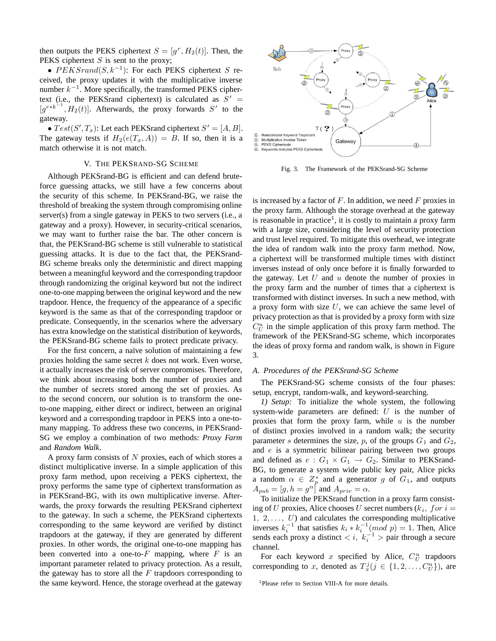then outputs the PEKS ciphertext  $S = [q^r, H_2(t)]$ . Then, the PEKS ciphertext  $S$  is sent to the proxy;

•  $PEKGrand(S, k^{-1})$ : For each PEKS ciphertext S received, the proxy updates it with the multiplicative inverse number  $k^{-1}$ . More specifically, the transformed PEKS ciphertext (i.e., the PEKSrand ciphertext) is calculated as  $S'$  $[g^{r*k^{-1}}, H_2(t)]$ . Afterwards, the proxy forwards S' to the gateway.

•  $Test(S', T_x)$ : Let each PEKSrand ciphertext  $S' = [A, B]$ .<br>
e gateway tests if  $H_2(e(T - A)) = B$ . If so then it is a The gateway tests if  $H_2(e(T_x, A)) = B$ . If so, then it is a match otherwise it is not match.

#### V. THE PEKSRAND-SG SCHEME

Although PEKSrand-BG is efficient and can defend bruteforce guessing attacks, we still have a few concerns about the security of this scheme. In PEKSrand-BG, we raise the threshold of breaking the system through compromising online server(s) from a single gateway in PEKS to two servers (i.e., a gateway and a proxy). However, in security-critical scenarios, we may want to further raise the bar. The other concern is that, the PEKSrand-BG scheme is still vulnerable to statistical guessing attacks. It is due to the fact that, the PEKSrand-BG scheme breaks only the deterministic and direct mapping between a meaningful keyword and the corresponding trapdoor through randomizing the original keyword but not the indirect one-to-one mapping between the original keyword and the new trapdoor. Hence, the frequency of the appearance of a specific keyword is the same as that of the corresponding trapdoor or predicate. Consequently, in the scenarios where the adversary has extra knowledge on the statistical distribution of keywords, the PEKSrand-BG scheme fails to protect predicate privacy.

For the first concern, a naïve solution of maintaining a few proxies holding the same secret  $k$  does not work. Even worse, it actually increases the risk of server compromises. Therefore, we think about increasing both the number of proxies and the number of secrets stored among the set of proxies. As to the second concern, our solution is to transform the oneto-one mapping, either direct or indirect, between an original keyword and a corresponding trapdoor in PEKS into a one-tomany mapping. To address these two concerns, in PEKSrand-SG we employ a combination of two methods: *Proxy Farm* and *Random Walk*.

A proxy farm consists of  $N$  proxies, each of which stores a distinct multiplicative inverse. In a simple application of this proxy farm method, upon receiving a PEKS ciphertext, the proxy performs the same type of ciphertext transformation as in PEKSrand-BG, with its own multiplicative inverse. Afterwards, the proxy forwards the resulting PEKSrand ciphertext to the gateway. In such a scheme, the PEKSrand ciphertexts corresponding to the same keyword are verified by distinct trapdoors at the gateway, if they are generated by different proxies. In other words, the original one-to-one mapping has been converted into a one-to- $F$  mapping, where  $F$  is an important parameter related to privacy protection. As a result, the gateway has to store all the  $F$  trapdoors corresponding to the same keyword. Hence, the storage overhead at the gateway



Fig. 3. The Framework of the PEKSrand-SG Scheme

is increased by a factor of  $F$ . In addition, we need  $F$  proxies in the proxy farm. Although the storage overhead at the gateway is reasonable in practice<sup>1</sup>, it is costly to maintain a proxy farm with a large size, considering the level of security protection and trust level required. To mitigate this overhead, we integrate the idea of random walk into the proxy farm method. Now, a ciphertext will be transformed multiple times with distinct inverses instead of only once before it is finally forwarded to the gateway. Let  $U$  and  $u$  denote the number of proxies in the proxy farm and the number of times that a ciphertext is transformed with distinct inverses. In such a new method, with a proxy form with size  $U$ , we can achieve the same level of privacy protection as that is provided by a proxy form with size  $C_U^u$  in the simple application of this proxy farm method. The framework of the PEKSrand-SG scheme, which incorporates the ideas of proxy forma and random walk, is shown in Figure 3.

#### *A. Procedures of the PEKSrand-SG Scheme*

The PEKSrand-SG scheme consists of the four phases: setup, encrypt, random-walk, and keyword-searching.

*1) Setup:* To initialize the whole system, the following system-wide parameters are defined:  $U$  is the number of proxies that form the proxy farm, while  $u$  is the number of distinct proxies involved in a random walk; the security parameter s determines the size, p, of the groups  $G_1$  and  $G_2$ , and e is a symmetric bilinear pairing between two groups and defined as  $e: G_1 \times G_1 \rightarrow G_2$ . Similar to PEKSrand-BG, to generate a system wide public key pair, Alice picks a random  $\alpha \in \mathbb{Z}_p^*$  and a generator g of  $G_1$ , and outputs  $A_{pub} = [g, h = g^{\alpha}]$  and  $A_{priv} = \alpha$ .

To initialize the PEKSrand function in a proxy farm consisting of U proxies, Alice chooses U secret numbers  $(k_i, for i =$  $1, 2, \ldots, U$  and calculates the corresponding multiplicative inverses  $k_i^{-1}$  that satisfies  $k_i * k_i^{-1} (mod\ p) = 1$ . Then, Alice sends each proxy a distinct  $\langle i, k_i^{-1} \rangle$  pair through a secure channel.

For each keyword x specified by Alice,  $C_U^u$  trapdoors corresponding to x, denoted as  $T_x^j (j \in \{1, 2, ..., C_U^u\})$ , are

1Please refer to Section VIII-A for more details.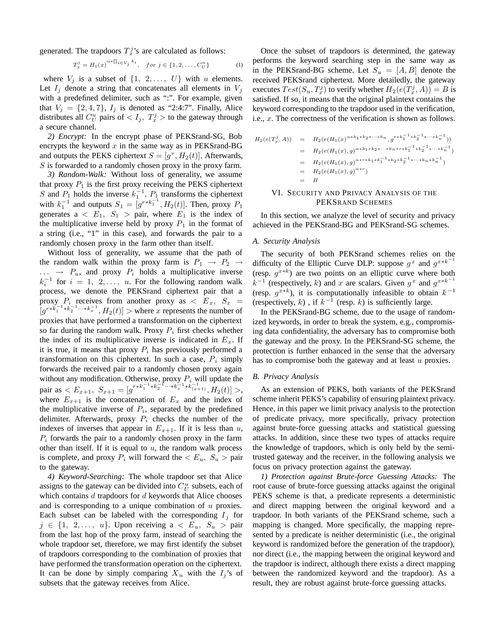generated. The trapdoors  $T_x^j$ 's are calculated as follows:

$$
T_x^j = H_1(x)^{\alpha * \prod_{i \in V_j} k_i}, \quad \text{for } j \in \{1, 2, \dots, C_U^u\} \tag{1}
$$

where  $V_j$  is a subset of  $\{1, 2, \ldots, U\}$  with u elements. Let  $I_j$  denote a string that concatenates all elements in  $V_j$ with a predefined delimiter, such as ":". For example, given that  $V_i = \{2, 4, 7\}$ ,  $I_i$  is denoted as "2:4:7". Finally, Alice distributes all  $C_U^u$  pairs of  $\langle I_j, T_x^j \rangle$  to the gateway through a secure channel.

*2) Encrypt:* In the encrypt phase of PEKSrand-SG, Bob encrypts the keyword  $x$  in the same way as in PEKSrand-BG and outputs the PEKS ciphertext  $S = [q^r, H_2(t)]$ . Afterwards,  $S$  is forwarded to a randomly chosen proxy in the proxy farm.

*3) Random-Walk:* Without loss of generality, we assume that proxy  $P_1$  is the first proxy receiving the PEKS ciphertext S and  $P_1$  holds the inverse  $k_1^{-1}$ ,  $P_1$  transforms the ciphertext<br>with  $k_1^{-1}$  and outputs  $S = [a^{r*k_1^{-1}} \ H^{(r)}]$ . Then prove  $P$ with  $k_1^{-1}$  and outputs  $S_1 = [g^{rk_1^{-1}}, H_2(t)]$ . Then, proxy  $P_1$ <br>generates  $2 \leq F_1$ ,  $S_2$ ,  $\sum$  pair, where  $F_1$  is the index of generates  $a \le E_1$ ,  $S_1 >$  pair, where  $E_1$  is the index of the multiplicative inverse held by proxy  $P_1$  in the format of a string (i.e., "1" in this case), and forwards the pair to a randomly chosen proxy in the farm other than itself.

Without loss of generality, we assume that the path of the random walk within the proxy farm is  $P_1 \rightarrow P_2 \rightarrow$  $\ldots \rightarrow P_u$ , and proxy  $P_i$  holds a multiplicative inverse  $k_i^{-1}$  for  $i = 1, 2, \ldots, u$ . For the following random walk<br>process we denote the PEKS rand cinnetext pair that a process, we denote the PEKSrand ciphertext pair that a proxy  $P_i$  receives from another proxy as  $\langle E_x, S_x \rangle =$  $[g^{rk\overline{k}_1^{-1} * k_2^{-1} \cdots * k_x^{-1}}, H_2(t)] >$  where x represents the number of proxies that have performed a transformation on the ciphertext so far during the random walk. Proxy  $P_i$  first checks whether the index of its multiplicative inverse is indicated in  $E_x$ . If it is true, it means that proxy  $P_i$  has previously performed a transformation on this ciphertext. In such a case,  $P_i$  simply forwards the received pair to a randomly chosen proxy again without any modification. Otherwise, proxy  $P_i$  will update the pair as  $\langle E_{x+1}, S_{x+1} = [g^{rk_1^{-1}*k_2^{-1}\cdots*k_x^{-1}*k_{(x+1)}^{-1}}, H_2(t)] \rangle$ , where  $E_{x+1}$  is the concatenation of  $E_x$  and the index of the multiplicative inverse of  $P_i$ , separated by the predefined delimiter. Afterwards, proxy  $P_i$  checks the number of the indexes of inverses that appear in  $E_{x+1}$ . If it is less than u,  $P_i$  forwards the pair to a randomly chosen proxy in the farm other than itself. If it is equal to  $u$ , the random walk process is complete, and proxy  $P_i$  will forward the  $\langle E_u, S_u \rangle$  pair to the gateway.

*4) Keyword-Searching:* The whole trapdoor set that Alice assigns to the gateway can be divided into  $C_U^u$  subsets, each of which contains  $d$  trapdoors for  $d$  keywords that Alice chooses and is corresponding to a unique combination of u proxies. Each subset can be labeled with the corresponding  $I_j$  for  $j \in \{1, 2, \ldots, u\}$ . Upon receiving  $a \lt E_u$ ,  $S_u > \text{pair}$ from the last hop of the proxy farm, instead of searching the whole trapdoor set, therefore, we may first identify the subset of trapdoors corresponding to the combination of proxies that have performed the transformation operation on the ciphertext. It can be done by simply comparing  $X_u$  with the  $I_j$ 's of subsets that the gateway receives from Alice.

Once the subset of trapdoors is determined, the gateway performs the keyword searching step in the same way as in the PEKSrand-BG scheme. Let  $S_u = [A, B]$  denote the received PEKSrand ciphertext. More detailedly, the gateway executes  $Test(S_u, T_x^j)$  to verify whether  $H_2(e(T_x^j, A)) = B$  is<br>satisfied. If so, it means that the original plaintext contains the satisfied. If so, it means that the original plaintext contains the keyword corresponding to the trapdoor used in the verification, i.e.,  $x$ . The correctness of the verification is shown as follows.

$$
H_2(e(T_x^j, A)) = H_2(e(H_1(x)^{\alpha * k_1 * k_2 * \cdots * k_n}, g^{r * k_1^{-1} * k_2^{-1} * \cdots * k_n^{-1}}))
$$
  
\n
$$
= H_2(e(H_1(x), g)^{\alpha * k_1 * k_2 * \cdots * k_n * r * k_1^{-1} * k_2^{-1} * \cdots * k_n^{-1}})
$$
  
\n
$$
= H_2(e(H_1(x), g)^{\alpha * r * k_1 * k_1^{-1} * k_2 * k_2^{-1} * \cdots * k_n * k_n^{-1}})
$$
  
\n
$$
= H_2(e(H_1(x), g)^{\alpha * r})
$$
  
\n
$$
= B
$$
  
\n
$$
M = \text{EFGUPITY AND PNUCV AND VUSUS OF THE}
$$

# VI. SECURITY AND PRIVACY ANALYSIS OF THE PEKSRAND SCHEMES

In this section, we analyze the level of security and privacy achieved in the PEKSrand-BG and PEKSrand-SG schemes.

#### *A. Security Analysis*

The security of both PEKSrand schemes relies on the difficulty of the Elliptic Curve DLP: suppose  $g^x$  and  $g^{x*k^{-1}}$ (resp.  $g^{x*k}$ ) are two points on an elliptic curve where both  $k^{-1}$  (respectively, k) and x are scalars. Given  $g^x$  and  $g^{x*k^{-1}}$ (resp.  $g^{x*k}$ ), it is computationally infeasible to obtain  $k^{-1}$ (respectively, k), if  $k^{-1}$  (resp. k) is sufficiently large.

In the PEKSrand-BG scheme, due to the usage of randomized keywords, in order to break the system, e.g., compromising data confidentiality, the adversary has to compromise both the gateway and the proxy. In the PEKSrand-SG scheme, the protection is further enhanced in the sense that the adversary has to compromise both the gateway and at least  $u$  proxies.

#### *B. Privacy Analysis*

As an extension of PEKS, both variants of the PEKSrand scheme inherit PEKS's capability of ensuring plaintext privacy. Hence, in this paper we limit privacy analysis to the protection of predicate privacy, more specifically, privacy protection against brute-force guessing attacks and statistical guessing attacks. In addition, since these two types of attacks require the knowledge of trapdoors, which is only held by the semitrusted gateway and the receiver, in the following analysis we focus on privacy protection against the gateway.

*1) Protection against Brute-force Guessing Attacks:* The root cause of brute-force guessing attacks against the original PEKS scheme is that, a predicate represents a deterministic and direct mapping between the original keyword and a trapdoor. In both variants of the PEKSrand scheme, such a mapping is changed. More specifically, the mapping represented by a predicate is neither deterministic (i.e., the original keyword is randomized before the generation of the trapdoor), nor direct (i.e., the mapping between the original keyword and the trapdoor is indirect, although there exists a direct mapping between the randomized keyword and the trapdoor). As a result, they are robust against brute-force guessing attacks.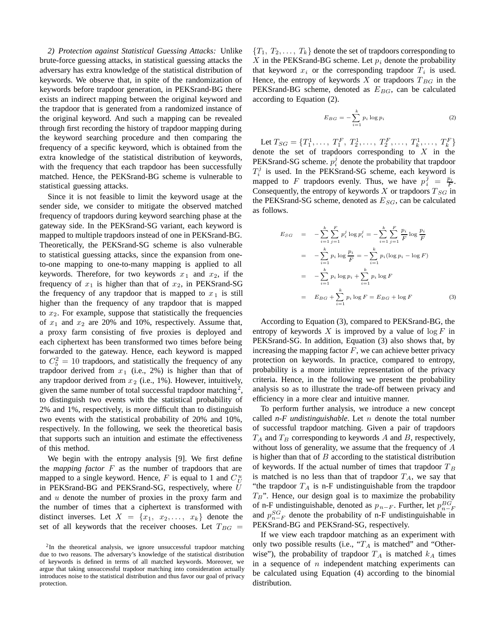*2) Protection against Statistical Guessing Attacks:* Unlike brute-force guessing attacks, in statistical guessing attacks the adversary has extra knowledge of the statistical distribution of keywords. We observe that, in spite of the randomization of keywords before trapdoor generation, in PEKSrand-BG there exists an indirect mapping between the original keyword and the trapdoor that is generated from a randomized instance of the original keyword. And such a mapping can be revealed through first recording the history of trapdoor mapping during the keyword searching procedure and then comparing the frequency of a specific keyword, which is obtained from the extra knowledge of the statistical distribution of keywords, with the frequency that each trapdoor has been successfully matched. Hence, the PEKSrand-BG scheme is vulnerable to statistical guessing attacks.

Since it is not feasible to limit the keyword usage at the sender side, we consider to mitigate the observed matched frequency of trapdoors during keyword searching phase at the gateway side. In the PEKSrand-SG variant, each keyword is mapped to multiple trapdoors instead of one in PEKSrand-BG. Theoretically, the PEKSrand-SG scheme is also vulnerable to statistical guessing attacks, since the expansion from oneto-one mapping to one-to-many mapping is applied to all keywords. Therefore, for two keywords  $x_1$  and  $x_2$ , if the frequency of  $x_1$  is higher than that of  $x_2$ , in PEKSrand-SG the frequency of any trapdoor that is mapped to  $x_1$  is still higher than the frequency of any trapdoor that is mapped to  $x_2$ . For example, suppose that statistically the frequencies of  $x_1$  and  $x_2$  are 20% and 10%, respectively. Assume that, a proxy farm consisting of five proxies is deployed and each ciphertext has been transformed two times before being forwarded to the gateway. Hence, each keyword is mapped to  $C_5^2 = 10$  trapdoors, and statistically the frequency of any<br>trandoor derived from  $x_1$  (i.e., 2%) is higher than that of trapdoor derived from  $x_1$  (i.e., 2%) is higher than that of any trapdoor derived from  $x_2$  (i.e., 1%). However, intuitively, given the same number of total successful trapdoor matching  $2$ , to distinguish two events with the statistical probability of 2% and 1%, respectively, is more difficult than to distinguish two events with the statistical probability of 20% and 10%, respectively. In the following, we seek the theoretical basis that supports such an intuition and estimate the effectiveness of this method.

We begin with the entropy analysis [9]. We first define the *mapping factor* F as the number of trapdoors that are mapped to a single keyword. Hence, F is equal to 1 and  $C_U^u$ in PEKSrand-BG and PEKSrand-SG, respectively, where U and  $u$  denote the number of proxies in the proxy farm and the number of times that a ciphertext is transformed with distinct inverses. Let  $X = \{x_1, x_2, \ldots, x_k\}$  denote the set of all keywords that the receiver chooses. Let  $T_{BG}$  =

 ${T_1, T_2, \ldots, T_k}$  denote the set of trapdoors corresponding to X in the PEKSrand-BG scheme. Let  $p_i$  denote the probability that keyword  $x_i$  or the corresponding trapdoor  $T_i$  is used. Hence, the entropy of keywords  $X$  or trapdoors  $T_{BG}$  in the PEKSrand-BG scheme, denoted as  $E_{BG}$ , can be calculated according to Equation (2).

$$
E_{BG} = -\sum_{i=1}^{k} p_i \log p_i \tag{2}
$$

Let  $T_{SG} = \{T_1^1, \ldots, T_f^F, T_2^1, \ldots, T_f^F, \ldots, T_k^1, \ldots, T_k^F\}$ <br>note the set of trandoors corresponding to X in the denote the set of trapdoors corresponding to  $X$  in the PEKSrand-SG scheme.  $p_i^j$  denote the probability that trapdoor  $T_i^j$  is used. In the PEKSrand-SG scheme, each keyword is mapped to F trapdoors evenly. Thus, we have  $p_i^j = \frac{p_i}{F}$ .<br>Consequently the entropy of keywords X or trapdoors  $T_{SG}$  in Consequently, the entropy of keywords  $X$  or trapdoors  $T_{SG}$  in the PEKSrand-SG scheme, denoted as  $E_{SG}$ , can be calculated as follows.

$$
E_{SG} = -\sum_{i=1}^{k} \sum_{j=1}^{F} p_i^j \log p_i^j = -\sum_{i=1}^{k} \sum_{j=1}^{F} \frac{p_i}{F} \log \frac{p_i}{F}
$$
  

$$
= -\sum_{i=1}^{k} p_i \log \frac{p_i}{F} = -\sum_{i=1}^{k} p_i (\log p_i - \log F)
$$
  

$$
= -\sum_{i=1}^{k} p_i \log p_i + \sum_{i=1}^{k} p_i \log F
$$
  

$$
= E_{BG} + \sum_{i=1}^{k} p_i \log F = E_{BG} + \log F
$$
(3)

According to Equation (3), compared to PEKSrand-BG, the entropy of keywords X is improved by a value of  $\log F$  in PEKSrand-SG. In addition, Equation (3) also shows that, by increasing the mapping factor  $F$ , we can achieve better privacy protection on keywords. In practice, compared to entropy, probability is a more intuitive representation of the privacy criteria. Hence, in the following we present the probability analysis so as to illustrate the trade-off between privacy and efficiency in a more clear and intuitive manner.

To perform further analysis, we introduce a new concept called  $n-F$  *undistinguishable*. Let  $n$  denote the total number of successful trapdoor matching. Given a pair of trapdoors  $T_A$  and  $T_B$  corresponding to keywords A and B, respectively, without loss of generality, we assume that the frequency of A is higher than that of  $B$  according to the statistical distribution of keywords. If the actual number of times that trapdoor  $T_B$ is matched is no less than that of trapdoor  $T_A$ , we say that "the trapdoor  $T_A$  is n-F undistinguishable from the trapdoor  $T_B$ ". Hence, our design goal is to maximize the probability of n-F undistinguishable, denoted as  $p_{n-F}$ . Further, let  $p_{n-F}^{BG}$ and  $p_{n-F}^{SG}$  denote the probability of n-F undistinguishable in PEKSrand-BG and PEKSrand-SG, respectively.

If we view each trapdoor matching as an experiment with only two possible results (i.e., " $T_A$  is matched" and "Otherwise"), the probability of trapdoor  $T_A$  is matched  $k_A$  times in a sequence of  $n$  independent matching experiments can be calculated using Equation (4) according to the binomial distribution.

<sup>&</sup>lt;sup>2</sup>In the theoretical analysis, we ignore unsuccessful trapdoor matching due to two reasons. The adversary's knowledge of the statistical distribution of keywords is defined in terms of all matched keywords. Moreover, we argue that taking unsuccessful trapdoor matching into consideration actually introduces noise to the statistical distribution and thus favor our goal of privacy protection.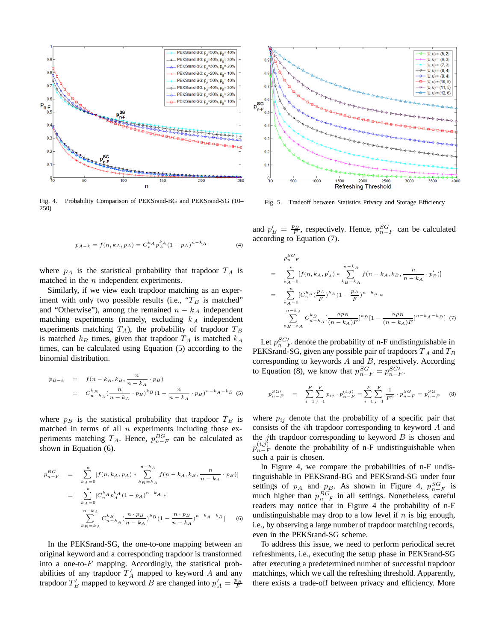

Fig. 4. Probability Comparison of PEKSrand-BG and PEKSrand-SG (10– 250)

$$
p_{A-k} = f(n, k_A, p_A) = C_n^{k_A} p_A^{k_A} (1 - p_A)^{n-k_A}
$$
 (4)

where  $p_A$  is the statistical probability that trapdoor  $T_A$  is matched in the  $n$  independent experiments.

Similarly, if we view each trapdoor matching as an experiment with only two possible results (i.e.,  $T_B$  is matched" and "Otherwise"), among the remained  $n - k_A$  independent matching experiments (namely, excluding  $k_A$  independent experiments matching  $T_A$ ), the probability of trapdoor  $T_B$ is matched  $k_B$  times, given that trapdoor  $T_A$  is matched  $k_A$ times, can be calculated using Equation (5) according to the binomial distribution.

$$
p_{B-k} = f(n - k_A, k_B, \frac{n}{n - k_A} \cdot p_B)
$$
  
=  $C_{n-k_A}^k (\frac{n}{n - k_A} \cdot p_B)^{k_B} (1 - \frac{n}{n - k_A} \cdot p_B)^{n - k_A - k_B}$  (5)

where  $p_B$  is the statistical probability that trapdoor  $T_B$  is matched in terms of all  $n$  experiments including those experiments matching  $T_A$ . Hence,  $p_{n-F}^{BG}$  can be calculated as shown in Equation (6).

$$
p_{n-F}^{BG} = \sum_{k_A=0}^{n} [f(n, k_A, p_A) * \sum_{k_B=k_A}^{n-k_A} f(n - k_A, k_B, \frac{n}{n - k_A} \cdot p_B)]
$$
  

$$
= \sum_{k_A=0}^{n} [C_n^k p_A^k (1 - p_A)^{n-k_A} * \sum_{k_B=k_A}^{n-k_A} C_{n-k_A}^k (\frac{n \cdot p_B}{n - k_A})^{k_B} (1 - \frac{n \cdot p_B}{n - k_A})^{n-k_A-k_B}] \qquad (6)
$$

In the PEKSrand-SG, the one-to-one mapping between an original keyword and a corresponding trapdoor is transformed into a one-to- $F$  mapping. Accordingly, the statistical probabilities of any trapdoor  $T'_A$  mapped to keyword A and any trapdoor  $T'_B$  mapped to keyword B are changed into  $p'_A = \frac{p_A}{F}$ 



Fig. 5. Tradeoff between Statistics Privacy and Storage Efficiency

and  $p'_B = \frac{p_B}{F}$ , respectively. Hence,  $p_{n-F}^{SG}$  can be calculated according to Equation (7) according to Equation (7).

$$
p_{n-F}^{SG} = \sum_{k_A=0}^{n} [f(n, k_A, p'_A) * \sum_{k_B=k_A}^{n-k_A} f(n - k_A, k_B, \frac{n}{n-k_A} \cdot p'_B)]
$$
  
= 
$$
\sum_{k_A=0}^{n} [C_n^{k_A} (\frac{p_A}{F})^{k_A} (1 - \frac{p_A}{F})^{n-k_A} * \sum_{k_B=k_A}^{n-k_A} C_{n-k_A}^{k_B} [\frac{np_B}{(n-k_A)F}]^{k_B} [1 - \frac{np_B}{(n-k_A)F}]^{n-k_A-k_B} ]
$$
 (7)

Let  $p_{n-F}^{SG'}$  denote the probability of n-F undistinguishable in PEKSrand-SG, given any possible pair of trapdoors  $T_A$  and  $T_B$ corresponding to keywords  $A$  and  $B$ , respectively. According to Equation (8), we know that  $p_{n-F}^{SG} = p_{n-F}^{SG}$ .

$$
p_{n-F}^{SG} = \sum_{i=1}^{F} \sum_{j=1}^{F} p_{ij} \cdot p_{n-F}^{(i,j)} = \sum_{i=1}^{F} \sum_{j=1}^{F} \frac{1}{F^2} \cdot p_{n-F}^{SG} = p_{n-F}^{SG} \tag{8}
$$

where  $p_{ij}$  denote that the probability of a specific pair that consists of the ith trapdoor corresponding to keyword A and the *j*th trapdoor corresponding to keyword  $B$  is chosen and  $p_{n-F}^{(i,j)}$  denote the probability of n-F undistinguishable when such a pair is chosen.

In Figure 4, we compare the probabilities of n-F undistinguishable in PEKSrand-BG and PEKSrand-SG under four settings of  $p_A$  and  $p_B$ . As shown in Figure 4,  $p_{n-F}^{SG}$  is much higher than  $p_{n-F}^{BG}$  in all settings. Nonetheless, careful readers may notice that in Figure 4 the probability of n-F undistinguishable may drop to a low level if  $n$  is big enough, i.e., by observing a large number of trapdoor matching records, even in the PEKSrand-SG scheme.

To address this issue, we need to perform periodical secret refreshments, i.e., executing the setup phase in PEKSrand-SG after executing a predetermined number of successful trapdoor matchings, which we call the refreshing threshold. Apparently, there exists a trade-off between privacy and efficiency. More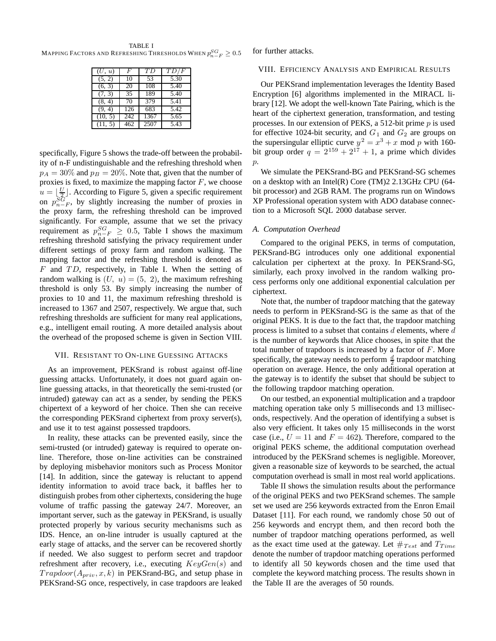TABLE I  $M$ apping Factors and Refreshing Thresholds When  $p^{SG}_{n-F} \geq 0.5$ 

| (U, u)  | F   | ТD   | TD/F              |
|---------|-----|------|-------------------|
| (5, 2)  | 10  | 53   | 5.30              |
| (6, 3)  | 20  | 108  | 5.40              |
| (7, 3)  | 35  | 189  | 5.40              |
| (8, 4)  | 70  | 379  | 5.41              |
| (9, 4)  | 126 | 683  | $5.\overline{42}$ |
| (10, 5) | 242 | 1367 | 5.65              |
| (11, 5) | 462 | 2507 | 5.43              |

specifically, Figure 5 shows the trade-off between the probability of n-F undistinguishable and the refreshing threshold when  $p_A = 30\%$  and  $p_B = 20\%$ . Note that, given that the number of proxies is fixed, to maximize the mapping factor  $F$ , we choose  $u = \lfloor \frac{U}{2} \rfloor$ . According to Figure 5, given a specific requirement<br>on  $p_{n-F}^{SG}$ , by slightly increasing the number of proxies in the proxy farm, the refreshing threshold can be improved significantly. For example, assume that we set the privacy requirement as  $p_{n-F}^{SG} \geq 0.5$ , Table I shows the maximum<br>refreshing threshold satisfying the privacy requirement under refreshing threshold satisfying the privacy requirement under different settings of proxy farm and random walking. The mapping factor and the refreshing threshold is denoted as  $F$  and  $TD$ , respectively, in Table I. When the setting of random walking is  $(U, u) = (5, 2)$ , the maximum refreshing threshold is only 53. By simply increasing the number of proxies to 10 and 11, the maximum refreshing threshold is increased to 1367 and 2507, respectively. We argue that, such refreshing thresholds are sufficient for many real applications, e.g., intelligent email routing. A more detailed analysis about the overhead of the proposed scheme is given in Section VIII.

# VII. RESISTANT TO ON-LINE GUESSING ATTACKS

As an improvement, PEKSrand is robust against off-line guessing attacks. Unfortunately, it does not guard again online guessing attacks, in that theoretically the semi-trusted (or intruded) gateway can act as a sender, by sending the PEKS chipertext of a keyword of her choice. Then she can receive the corresponding PEKSrand ciphertext from proxy server(s), and use it to test against possessed trapdoors.

In reality, these attacks can be prevented easily, since the semi-trusted (or intruded) gateway is required to operate online. Therefore, those on-line activities can be constrained by deploying misbehavior monitors such as Process Monitor [14]. In addition, since the gateway is reluctant to append identity information to avoid trace back, it baffles her to distinguish probes from other ciphertexts, considering the huge volume of traffic passing the gateway 24/7. Moreover, an important server, such as the gateway in PEKSrand, is usually protected properly by various security mechanisms such as IDS. Hence, an on-line intruder is usually captured at the early stage of attacks, and the server can be recovered shortly if needed. We also suggest to perform secret and trapdoor refreshment after recovery, i.e., executing  $KeyGen(s)$  and  $Trapdoor(A_{priv}, x, k)$  in PEKSrand-BG, and setup phase in PEKSrand-SG once, respectively, in case trapdoors are leaked

for further attacks.

#### VIII. EFFICIENCY ANALYSIS AND EMPIRICAL RESULTS

Our PEKSrand implementation leverages the Identity Based Encryption [6] algorithms implemented in the MIRACL library [12]. We adopt the well-known Tate Pairing, which is the heart of the ciphertext generation, transformation, and testing processes. In our extension of PEKS, a 512-bit prime  $p$  is used for effective 1024-bit security, and  $G_1$  and  $G_2$  are groups on the supersingular elliptic curve  $y^2 = x^3 + x \mod p$  with 160bit group order  $q = 2^{159} + 2^{17} + 1$ , a prime which divides  $\mathcal{D}$ .

We simulate the PEKSrand-BG and PEKSrand-SG schemes on a desktop with an Intel(R) Core (TM)2 2.13GHz CPU (64 bit processor) and 2GB RAM. The programs run on Windows XP Professional operation system with ADO database connection to a Microsoft SQL 2000 database server.

#### *A. Computation Overhead*

Compared to the original PEKS, in terms of computation, PEKSrand-BG introduces only one additional exponential calculation per ciphertext at the proxy. In PEKSrand-SG, similarly, each proxy involved in the random walking process performs only one additional exponential calculation per ciphertext.

Note that, the number of trapdoor matching that the gateway needs to perform in PEKSrand-SG is the same as that of the original PEKS. It is due to the fact that, the trapdoor matching process is limited to a subset that contains  $d$  elements, where  $d$ is the number of keywords that Alice chooses, in spite that the total number of trapdoors is increased by a factor of  $F$ . More specifically, the gateway needs to perform  $\frac{d}{2}$  trapdoor matching<br>operation on average. Hence, the only additional operation at operation on average. Hence, the only additional operation at the gateway is to identify the subset that should be subject to the following trapdoor matching operation.

On our testbed, an exponential multiplication and a trapdoor matching operation take only 5 milliseconds and 13 milliseconds, respectively. And the operation of identifying a subset is also very efficient. It takes only 15 milliseconds in the worst case (i.e.,  $U = 11$  and  $F = 462$ ). Therefore, compared to the original PEKS scheme, the additional computation overhead introduced by the PEKSrand schemes is negligible. Moreover, given a reasonable size of keywords to be searched, the actual computation overhead is small in most real world applications.

Table II shows the simulation results about the performance of the original PEKS and two PEKSrand schemes. The sample set we used are 256 keywords extracted from the Enron Email Dataset [11]. For each round, we randomly chose 50 out of 256 keywords and encrypt them, and then record both the number of trapdoor matching operations performed, as well as the exact time used at the gateway. Let  $\#_{Test}$  and  $T_{Time}$ denote the number of trapdoor matching operations performed to identify all 50 keywords chosen and the time used that complete the keyword matching process. The results shown in the Table II are the averages of 50 rounds.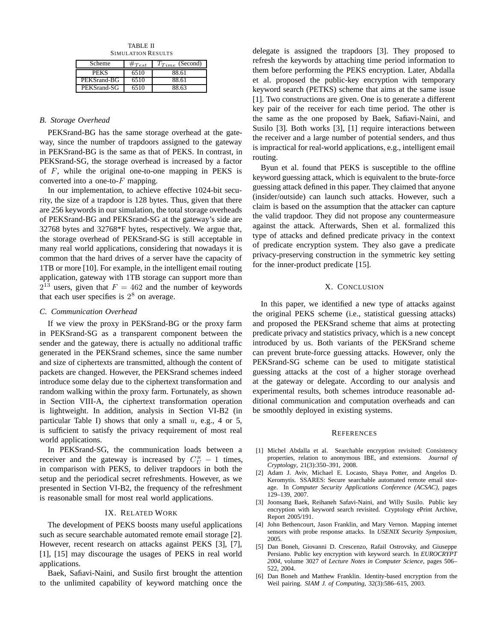TABLE II SIMULATION RESULTS

| Scheme      | $\#Test$ | $T_{Time}$ (Second) |
|-------------|----------|---------------------|
| <b>PEKS</b> | 6510     | 88.61               |
| PEKSrand-BG | 6510     | 88.61               |
| PEKSrand-SG | 6510     | 88.63               |

# *B. Storage Overhead*

PEKSrand-BG has the same storage overhead at the gateway, since the number of trapdoors assigned to the gateway in PEKSrand-BG is the same as that of PEKS. In contrast, in PEKSrand-SG, the storage overhead is increased by a factor of  $F$ , while the original one-to-one mapping in PEKS is converted into a one-to- $F$  mapping.

In our implementation, to achieve effective 1024-bit security, the size of a trapdoor is 128 bytes. Thus, given that there are 256 keywords in our simulation, the total storage overheads of PEKSrand-BG and PEKSrand-SG at the gateway's side are 32768 bytes and 32768\*F bytes, respectively. We argue that, the storage overhead of PEKSrand-SG is still acceptable in many real world applications, considering that nowadays it is common that the hard drives of a server have the capacity of 1TB or more [10]. For example, in the intelligent email routing application, gateway with 1TB storage can support more than  $2^{13}$  users, given that  $F = 462$  and the number of keywords that each user specifies is  $2<sup>8</sup>$  on average.

#### *C. Communication Overhead*

If we view the proxy in PEKSrand-BG or the proxy farm in PEKSrand-SG as a transparent component between the sender and the gateway, there is actually no additional traffic generated in the PEKSrand schemes, since the same number and size of ciphertexts are transmitted, although the content of packets are changed. However, the PEKSrand schemes indeed introduce some delay due to the ciphertext transformation and random walking within the proxy farm. Fortunately, as shown in Section VIII-A, the ciphertext transformation operation is lightweight. In addition, analysis in Section VI-B2 (in particular Table I) shows that only a small  $u$ , e.g., 4 or 5, is sufficient to satisfy the privacy requirement of most real world applications.

In PEKSrand-SG, the communication loads between a receiver and the gateway is increased by  $C_U^u - 1$  times,<br>in comparison with PEKS, to deliver transform in both the in comparison with PEKS, to deliver trapdoors in both the setup and the periodical secret refreshments. However, as we presented in Section VI-B2, the frequency of the refreshment is reasonable small for most real world applications.

# IX. RELATED WORK

The development of PEKS boosts many useful applications such as secure searchable automated remote email storage [2]. However, recent research on attacks against PEKS [3], [7], [1], [15] may discourage the usages of PEKS in real world applications.

Baek, Safiavi-Naini, and Susilo first brought the attention to the unlimited capability of keyword matching once the

delegate is assigned the trapdoors [3]. They proposed to refresh the keywords by attaching time period information to them before performing the PEKS encryption. Later, Abdalla et al. proposed the public-key encryption with temporary keyword search (PETKS) scheme that aims at the same issue [1]. Two constructions are given. One is to generate a different key pair of the receiver for each time period. The other is the same as the one proposed by Baek, Safiavi-Naini, and Susilo [3]. Both works [3], [1] require interactions between the receiver and a large number of potential senders, and thus is impractical for real-world applications, e.g., intelligent email routing.

Byun et al. found that PEKS is susceptible to the offline keyword guessing attack, which is equivalent to the brute-force guessing attack defined in this paper. They claimed that anyone (insider/outside) can launch such attacks. However, such a claim is based on the assumption that the attacker can capture the valid trapdoor. They did not propose any countermeasure against the attack. Afterwards, Shen et al. formalized this type of attacks and defined predicate privacy in the context of predicate encryption system. They also gave a predicate privacy-preserving construction in the symmetric key setting for the inner-product predicate [15].

#### X. CONCLUSION

In this paper, we identified a new type of attacks against the original PEKS scheme (i.e., statistical guessing attacks) and proposed the PEKSrand scheme that aims at protecting predicate privacy and statistics privacy, which is a new concept introduced by us. Both variants of the PEKSrand scheme can prevent brute-force guessing attacks. However, only the PEKSrand-SG scheme can be used to mitigate statistical guessing attacks at the cost of a higher storage overhead at the gateway or delegate. According to our analysis and experimental results, both schemes introduce reasonable additional communication and computation overheads and can be smoothly deployed in existing systems.

#### **REFERENCES**

- [1] Michel Abdalla et al. Searchable encryption revisited: Consistency properties, relation to anonymous IBE, and extensions. *Journal of Cryptology*, 21(3):350–391, 2008.
- [2] Adam J. Aviv, Michael E. Locasto, Shaya Potter, and Angelos D. Keromytis. SSARES: Secure searchable automated remote email storage. In *Computer Security Applications Conference (ACSAC)*, pages 129–139, 2007.
- [3] Joonsang Baek, Reihaneh Safavi-Naini, and Willy Susilo. Public key encryption with keyword search revisited. Cryptology ePrint Archive, Report 2005/191.
- [4] John Bethencourt, Jason Franklin, and Mary Vernon. Mapping internet sensors with probe response attacks. In *USENIX Security Symposium*, 2005.
- [5] Dan Boneh, Giovanni D. Crescenzo, Rafail Ostrovsky, and Giuseppe Persiano. Public key encryption with keyword search. In *EUROCRYPT 2004*, volume 3027 of *Lecture Notes in Computer Science*, pages 506– 522, 2004.
- [6] Dan Boneh and Matthew Franklin. Identity-based encryption from the Weil pairing. *SIAM J. of Computing*, 32(3):586–615, 2003.